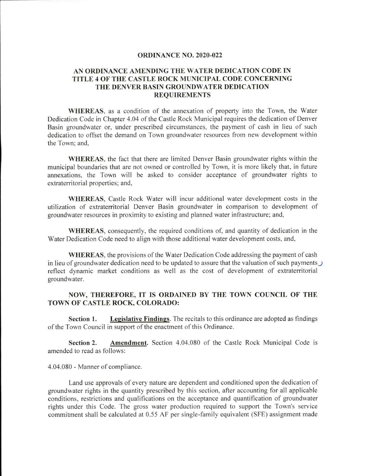## ORDINANCE NO. 2020-022

## AN ORDINANCE AMENDING THE WATER DEDICATION CODE IN TITLE 4 OF THE CASTLE ROCK MUNICIPAL CODE CONCERNING THE DENVER BASIN GROUNDWATER DEDICATION REQUIREMENTS

WHEREAS, as a condition of the annexation of property into the Town, the Water Dedication Code in Chapter 4.04 of the Castle Rock Municipal requires the dedication of Denver Basin groundwater or, under prescribed circumstances, the payment of cash in lieu of such dedication to offset the demand on Town groundwater resources from new development within the Town; and.

WHEREAS, the fact that there are limited Denver Basin groundwater rights within the municipal boundaries that are not owned or controlled by Town, it is more likely that, in future annexations, the Town will be asked to consider acceptance of groundwater rights to extraterritorial properties; and,

WHEREAS, Castle Rock Water will incur additional water development costs in the utilization of extraterritorial Denver Basin groundwater in comparison to development of groundwater resources in proximity to existing and planned water infrastructure; and,

WHEREAS, consequently, the required conditions of, and quantity of dedication in the Water Dedication Code need to align with those additional water development costs, and.

WHEREAS, the provisions of the Water Dedication Code addressing the payment of cash in lieu of groundwater dedication need to be updated to assure that the valuation of such payments  $\bigcup$ reflect dynamic market conditions as well as the cost of development of extraterritorial groundwater.

## NOW, THEREFORE, IT IS ORDAINED BY THE TOWN COUNCIL OF THE TOWN OF CASTLE ROCK, COLORADO:

Section 1. Legislative Findings. The recitals to this ordinance are adopted as findings of the Town Council in support of the enactment of this Ordinance.

Section 2. Amendment. Section 4.04.080 of the Castle Rock Municipal Code is amended to read as follows:

4.04.080 - Manner of compliance.

Land use approvals of every nature are dependent and conditioned upon the dedication of groundwater rights in the quantity prescribed by this section, after accounting for all applicable conditions, restrictions and qualifications on the acceptance and quantification of groundwater rights under this Code. The gross water production required to support the Town's service commitment shall be calculated at 0.55 AF per single-family equivalent (SEE) assignment made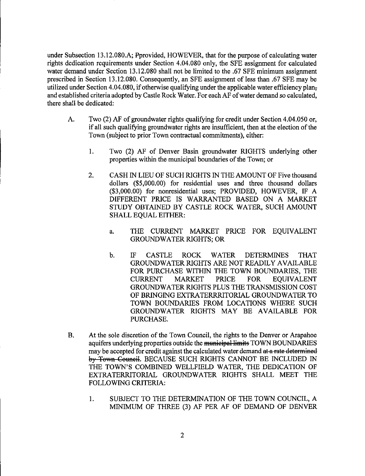under Subsection 13.12.080.A; Pprovided, HOWEVER, that for the purpose of calculating water rights dedication requirements under Section 4.04.080 only, the SFE assignment for calculated water demand under Section 13.12.080 shall not be limited to the .67 SFE minimum assignment prescribed in Section 13.12.080. Consequently, an SFE assignment of less than .67 SFE may be utilized under Section 4.04.080, if otherwise qualifying under the applicable water efficiency planand established criteria adopted by Castle Rock Water. For each AF of water demand so calculated, there shall be dedicated:

- A. Two (2) AF of groundwater rights qualifying for credit under Section 4.04.050 or, if all such qualifying groundwater rights are insufficient, then at the election ofthe Town (subject to prior Town contractual commitments), either:
	- 1. Two (2) AF of Denver Basin groundwater RIGHTS underlying other properties within the municipal boundaries of the Town; or
	- 2. CASH IN LIEU OF SUCH RIGHTS IN THE AMOUNT OF Five thousand dollars (\$5,000.00) for residential uses and three thousand dollars (\$3,000.00) for nonresidential uses; PROVIDED, HOWEVER, IF A DIFFERENT PRICE IS WARRANTED BASED ON A MARKET STUDY OBTAINED BY CASTLE ROCK WATER, SUCH AMOUNT SHALL EQUAL EITHER:
		- a. THE CURRENT MARKET PRICE FOR EQUIVALENT GROUNDWATER RIGHTS; OR
		- b. IF CASTLE ROCK WATER DETERMINES THAT GROUNDWATER RIGHTS ARE NOT READILY AVAILABLE FOR PURCHASE WITHIN THE TOWN BOUNDARIES, THE CURRENT MARKET PRICE FOR EQUIVALENT GROUNDWATER RIGHTS PLUS THE TRANSMISSION COST OF BRINGING EXTRATERRRITORIAL GROUNDWATER TO TOWN BOUNDARIES FROM LOCATIONS WHERE SUCH GROUNDWATER RIGHTS MAY BE AVAILABLE FOR PURCHASE.
- B. At the sole discretion of the Town Council, the rights to the Denver or Arapahoe aquifers underlying properties outside the municipal limits TOWN BOUNDARIES may be accepted for credit against the calculated water demand at a rate determined by Town Council. BECAUSE SUCH RIGHTS CANNOT BE INCLUDED IN THE TOWN'S COMBINED WELLFIELD WATER, THE DEDICATION OF EXTRATERRITORIAL GROUNDWATER RIGHTS SHALL MEET THE FOLLOWING CRITERIA:
	- 1. SUBJECT TO THE DETERMINATION OF THE TOWN COUNCIL, A MINIMUM OF THREE (3) AF PER AF OF DEMAND OF DENVER